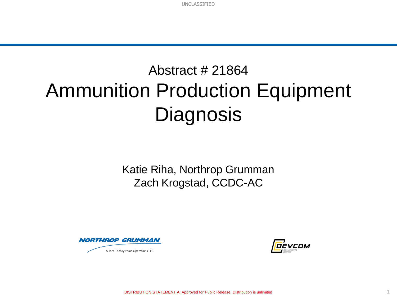## Abstract # 21864 Ammunition Production Equipment **Diagnosis**

Katie Riha, Northrop Grumman Zach Krogstad, CCDC-AC



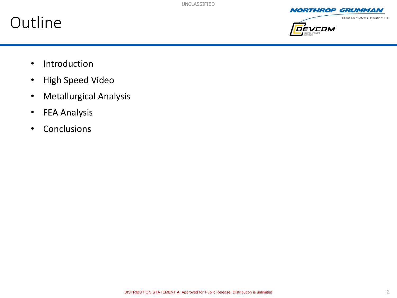### **Outline**







- Introduction
- High Speed Video
- Metallurgical Analysis
- FEA Analysis
- Conclusions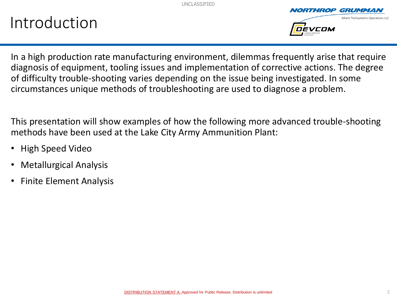## Introduction



In a high production rate manufacturing environment, dilemmas frequently arise that require diagnosis of equipment, tooling issues and implementation of corrective actions. The degree of difficulty trouble-shooting varies depending on the issue being investigated. In some circumstances unique methods of troubleshooting are used to diagnose a problem.

This presentation will show examples of how the following more advanced trouble-shooting methods have been used at the Lake City Army Ammunition Plant:

- High Speed Video
- Metallurgical Analysis
- Finite Element Analysis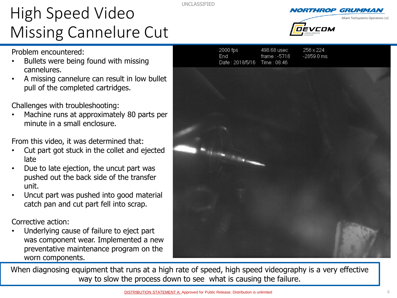## High Speed Video Missing Cannelure Cut

Problem encountered:

- Bullets were being found with missing cannelures.
- A missing cannelure can result in low bullet pull of the completed cartridges.

Challenges with troubleshooting:

• Machine runs at approximately 80 parts per minute in a small enclosure.

From this video, it was determined that:

- Cut part got stuck in the collet and ejected late
- Due to late ejection, the uncut part was pushed out the back side of the transfer unit.
- Uncut part was pushed into good material catch pan and cut part fell into scrap.

Corrective action:

• Underlying cause of failure to eject part was component wear. Implemented a new preventative maintenance program on the worn components.

When diagnosing equipment that runs at a high rate of speed, high speed videography is a very effective way to slow the process down to see what is causing the failure.





GRUMMAN

Volet de le Cole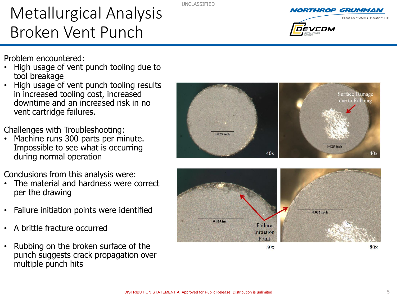## Metallurgical Analysis Broken Vent Punch

Problem encountered:

- High usage of vent punch tooling due to tool breakage
- High usage of vent punch tooling results in increased tooling cost, increased downtime and an increased risk in no vent cartridge failures.

Challenges with Troubleshooting:

Machine runs 300 parts per minute. Impossible to see what is occurring during normal operation

Conclusions from this analysis were:

- The material and hardness were correct per the drawing
- Failure initiation points were identified
- A brittle fracture occurred
- Rubbing on the broken surface of the punch suggests crack propagation over multiple punch hits





 $40x$ 

40x

5



DEVCOM

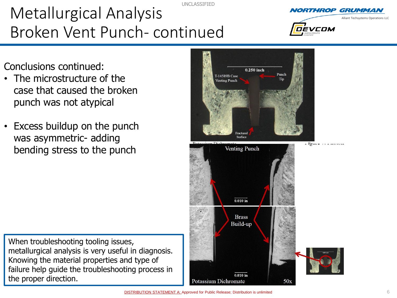UNCLASSIFIED Metallurgical Analysis Broken Vent Punch- continued

Conclusions continued:

- The microstructure of the case that caused the broken punch was not atypical
- Excess buildup on the punch was asymmetric- adding bending stress to the punch

When troubleshooting tooling issues, metallurgical analysis is very useful in diagnosis. Knowing the material properties and type of failure help guide the troubleshooting process in the proper direction.







DEVCOM

Alliant Techsystems Operations LLC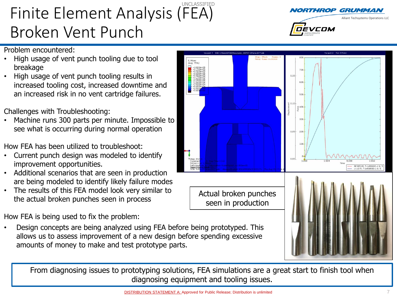#### UNCLASSIFIED Finite Element Analysis (FEA) Broken Vent Punch

#### Problem encountered:

- High usage of vent punch tooling due to tool breakage
- High usage of vent punch tooling results in increased tooling cost, increased downtime and an increased risk in no vent cartridge failures.

Challenges with Troubleshooting:

• Machine runs 300 parts per minute. Impossible to see what is occurring during normal operation

How FEA has been utilized to troubleshoot:

- Current punch design was modeled to identify improvement opportunities.
- Additional scenarios that are seen in production are being modeled to identify likely failure modes
- The results of this FEA model look very similar to the actual broken punches seen in process

How FEA is being used to fix the problem:

• Design concepts are being analyzed using FEA before being prototyped. This allows us to assess improvement of a new design before spending excessive amounts of money to make and test prototype parts.

From diagnosing issues to prototyping solutions, FEA simulations are a great start to finish tool when diagnosing equipment and tooling issues.





 $700$ 

#### Alliant Techsystems Operations LLC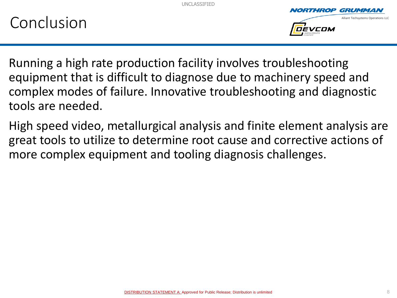



Running a high rate production facility involves troubleshooting equipment that is difficult to diagnose due to machinery speed and complex modes of failure. Innovative troubleshooting and diagnostic tools are needed.

High speed video, metallurgical analysis and finite element analysis are great tools to utilize to determine root cause and corrective actions of more complex equipment and tooling diagnosis challenges.